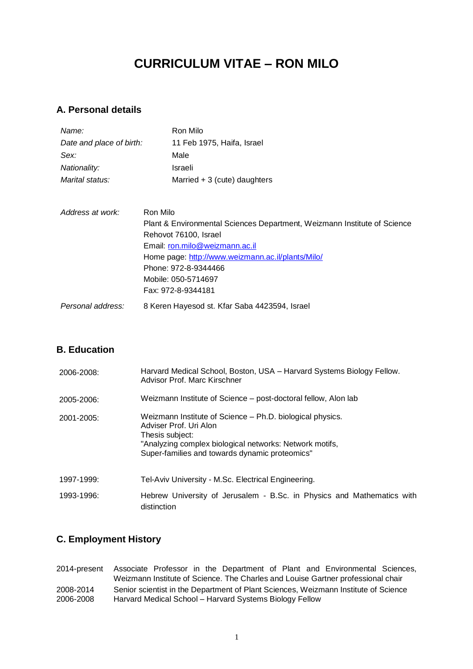# **CURRICULUM VITAE – RON MILO**

# **A. Personal details**

| Name:                    | Ron Milo                                                                 |
|--------------------------|--------------------------------------------------------------------------|
| Date and place of birth: | 11 Feb 1975, Haifa, Israel                                               |
| Sex:                     | Male                                                                     |
| Nationality:             | Israeli                                                                  |
| Marital status:          | Married $+3$ (cute) daughters                                            |
| Address at work:         | Ron Milo                                                                 |
|                          | Plant & Environmental Sciences Department, Weizmann Institute of Science |
|                          | Rehovot 76100, Israel                                                    |
|                          | Email: ron.milo@weizmann.ac.il                                           |
|                          | Home page http://www.weizmann.ac.il/plants/Milo/                         |

|                   | Home page: http://www.weizmann.ac.il/plants/Milo/ |
|-------------------|---------------------------------------------------|
|                   | Phone: 972-8-9344466                              |
|                   | Mobile: 050-5714697                               |
|                   | Fax: 972-8-9344181                                |
| Personal address: | 8 Keren Hayesod st. Kfar Saba 4423594, Israel     |

### **B. Education**

| 2006-2008: | Harvard Medical School, Boston, USA – Harvard Systems Biology Fellow.<br>Advisor Prof. Marc Kirschner                                                                                                               |
|------------|---------------------------------------------------------------------------------------------------------------------------------------------------------------------------------------------------------------------|
| 2005-2006: | Weizmann Institute of Science – post-doctoral fellow, Alon lab                                                                                                                                                      |
| 2001-2005: | Weizmann Institute of Science – Ph.D. biological physics.<br>Adviser Prof. Uri Alon<br>Thesis subject:<br>"Analyzing complex biological networks: Network motifs,<br>Super-families and towards dynamic proteomics" |
| 1997-1999: | Tel-Aviv University - M.Sc. Electrical Engineering.                                                                                                                                                                 |
| 1993-1996: | Hebrew University of Jerusalem - B.Sc. in Physics and Mathematics with<br>distinction                                                                                                                               |

# **C. Employment History**

2014-present Associate Professor in the Department of Plant and Environmental Sciences, Weizmann Institute of Science. The Charles and Louise Gartner professional chair 2008-2014 Senior scientist in the Department of Plant Sciences, Weizmann Institute of Science<br>2006-2008 Harvard Medical School – Harvard Systems Biology Fellow Harvard Medical School – Harvard Systems Biology Fellow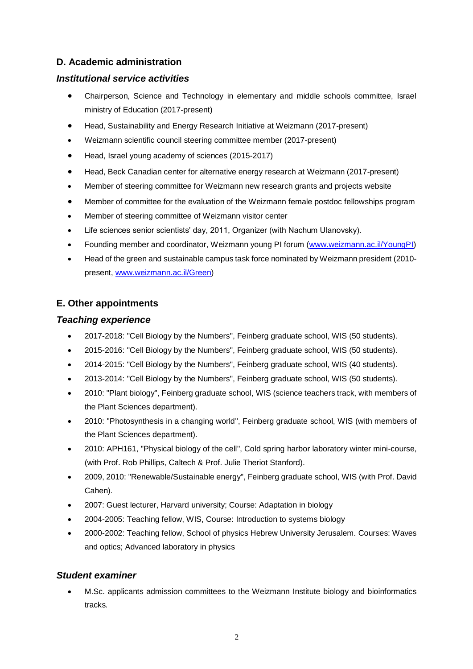# **D. Academic administration**

### *Institutional service activities*

- Chairperson, Science and Technology in elementary and middle schools committee, Israel ministry of Education (2017-present)
- Head, Sustainability and Energy Research Initiative at Weizmann (2017-present)
- Weizmann scientific council steering committee member (2017-present)
- Head, Israel young academy of sciences (2015-2017)
- Head, Beck Canadian center for alternative energy research at Weizmann (2017-present)
- Member of steering committee for Weizmann new research grants and projects website
- Member of committee for the evaluation of the Weizmann female postdoc fellowships program
- Member of steering committee of Weizmann visitor center
- Life sciences senior scientists' day, 2011, Organizer (with Nachum Ulanovsky).
- Founding member and coordinator, Weizmann young PI forum [\(www.weizmann.ac.il/YoungPI\)](http://www.weizmann.ac.il/YoungPI)
- Head of the green and sustainable campus task force nominated by Weizmann president (2010 present, [www.weizmann.ac.il/Green\)](http://www.weizmann.ac.il/Green)

### **E. Other appointments**

#### *Teaching experience*

- 2017-2018: "Cell Biology by the Numbers", Feinberg graduate school, WIS (50 students).
- 2015-2016: "Cell Biology by the Numbers", Feinberg graduate school, WIS (50 students).
- 2014-2015: "Cell Biology by the Numbers", Feinberg graduate school, WIS (40 students).
- 2013-2014: "Cell Biology by the Numbers", Feinberg graduate school, WIS (50 students).
- 2010: "Plant biology", Feinberg graduate school, WIS (science teachers track, with members of the Plant Sciences department).
- 2010: "Photosynthesis in a changing world", Feinberg graduate school, WIS (with members of the Plant Sciences department).
- 2010: APH161, "Physical biology of the cell", Cold spring harbor laboratory winter mini-course, (with Prof. Rob Phillips, Caltech & Prof. Julie Theriot Stanford).
- 2009, 2010: "Renewable/Sustainable energy", Feinberg graduate school, WIS (with Prof. David Cahen).
- 2007: Guest lecturer, Harvard university; Course: Adaptation in biology
- 2004-2005: Teaching fellow, WIS, Course: Introduction to systems biology
- 2000-2002: Teaching fellow, School of physics Hebrew University Jerusalem. Courses: Waves and optics; Advanced laboratory in physics

### *Student examiner*

• M.Sc. applicants admission committees to the Weizmann Institute biology and bioinformatics tracks*.*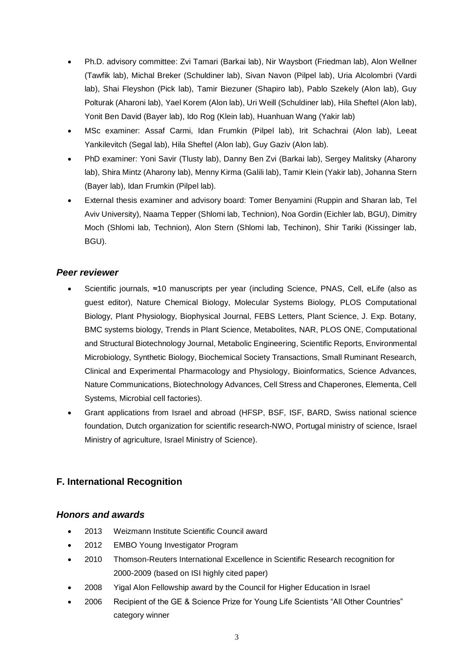- Ph.D. advisory committee: Zvi Tamari (Barkai lab), Nir Waysbort (Friedman lab), Alon Wellner (Tawfik lab), Michal Breker (Schuldiner lab), Sivan Navon (Pilpel lab), Uria Alcolombri (Vardi lab), Shai Fleyshon (Pick lab), Tamir Biezuner (Shapiro lab), Pablo Szekely (Alon lab), Guy Polturak (Aharoni lab), Yael Korem (Alon lab), Uri Weill (Schuldiner lab), Hila Sheftel (Alon lab), Yonit Ben David (Bayer lab), Ido Rog (Klein lab), Huanhuan Wang (Yakir lab)
- MSc examiner: Assaf Carmi, Idan Frumkin (Pilpel lab), Irit Schachrai (Alon lab), Leeat Yankilevitch (Segal lab), Hila Sheftel (Alon lab), Guy Gaziv (Alon lab).
- PhD examiner: Yoni Savir (Tlusty lab), Danny Ben Zvi (Barkai lab), Sergey Malitsky (Aharony lab), Shira Mintz (Aharony lab), Menny Kirma (Galili lab), Tamir Klein (Yakir lab), Johanna Stern (Bayer lab), Idan Frumkin (Pilpel lab).
- External thesis examiner and advisory board: Tomer Benyamini (Ruppin and Sharan lab, Tel Aviv University), Naama Tepper (Shlomi lab, Technion), Noa Gordin (Eichler lab, BGU), Dimitry Moch (Shlomi lab, Technion), Alon Stern (Shlomi lab, Techinon), Shir Tariki (Kissinger lab, BGU).

### *Peer reviewer*

- Scientific journals, ≈10 manuscripts per year (including Science, PNAS, Cell, eLife (also as guest editor), Nature Chemical Biology, Molecular Systems Biology, PLOS Computational Biology, Plant Physiology, Biophysical Journal, FEBS Letters, Plant Science, J. Exp. Botany, BMC systems biology, Trends in Plant Science, Metabolites, NAR, PLOS ONE, Computational and Structural Biotechnology Journal, Metabolic Engineering, Scientific Reports, Environmental Microbiology, Synthetic Biology, Biochemical Society Transactions, Small Ruminant Research, Clinical and Experimental Pharmacology and Physiology, Bioinformatics, Science Advances, Nature Communications, Biotechnology Advances, Cell Stress and Chaperones, Elementa, Cell Systems, Microbial cell factories).
- Grant applications from Israel and abroad (HFSP, BSF, ISF, BARD, Swiss national science foundation, Dutch organization for scientific research-NWO, Portugal ministry of science, Israel Ministry of agriculture, Israel Ministry of Science).

# **F. International Recognition**

#### *Honors and awards*

- 2013 Weizmann Institute Scientific Council award
- 2012 EMBO Young Investigator Program
- 2010 Thomson-Reuters International Excellence in Scientific Research recognition for 2000-2009 (based on ISI highly cited paper)
- 2008 Yigal Alon Fellowship award by the Council for Higher Education in Israel
- 2006 Recipient of the GE & Science Prize for Young Life Scientists "All Other Countries" category winner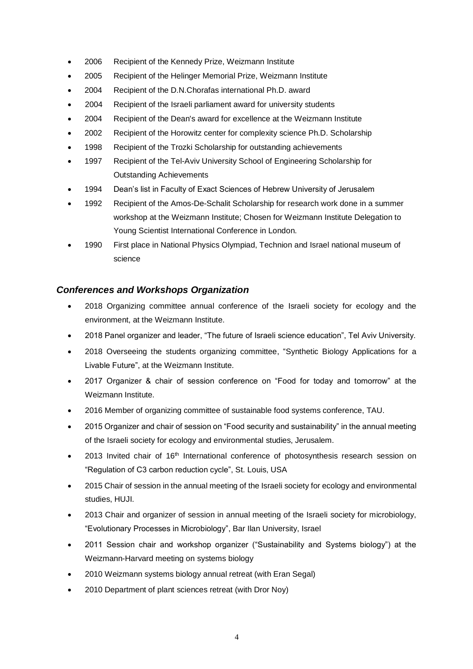- 2006 Recipient of the Kennedy Prize, Weizmann Institute
- 2005 Recipient of the Helinger Memorial Prize, Weizmann Institute
- 2004 Recipient of the D.N.Chorafas international Ph.D. award
- 2004 Recipient of the Israeli parliament award for university students
- 2004 Recipient of the Dean's award for excellence at the Weizmann Institute
- 2002 Recipient of the Horowitz center for complexity science Ph.D. Scholarship
- 1998 Recipient of the Trozki Scholarship for outstanding achievements
- 1997 Recipient of the Tel-Aviv University School of Engineering Scholarship for Outstanding Achievements
- 1994 Dean's list in Faculty of Exact Sciences of Hebrew University of Jerusalem
- 1992 Recipient of the Amos-De-Schalit Scholarship for research work done in a summer workshop at the Weizmann Institute; Chosen for Weizmann Institute Delegation to Young Scientist International Conference in London.
- 1990 First place in National Physics Olympiad, Technion and Israel national museum of science

### *Conferences and Workshops Organization*

- 2018 Organizing committee annual conference of the Israeli society for ecology and the environment, at the Weizmann Institute.
- 2018 Panel organizer and leader, "The future of Israeli science education", Tel Aviv University.
- 2018 Overseeing the students organizing committee, "Synthetic Biology Applications for a Livable Future", at the Weizmann Institute.
- 2017 Organizer & chair of session conference on "Food for today and tomorrow" at the Weizmann Institute.
- 2016 Member of organizing committee of sustainable food systems conference, TAU.
- 2015 Organizer and chair of session on "Food security and sustainability" in the annual meeting of the Israeli society for ecology and environmental studies, Jerusalem.
- 2013 Invited chair of 16<sup>th</sup> International conference of photosynthesis research session on "Regulation of C3 carbon reduction cycle", St. Louis, USA
- 2015 Chair of session in the annual meeting of the Israeli society for ecology and environmental studies, HUJI.
- 2013 Chair and organizer of session in annual meeting of the Israeli society for microbiology, "Evolutionary Processes in Microbiology", Bar Ilan University, Israel
- 2011 Session chair and workshop organizer ("Sustainability and Systems biology") at the Weizmann-Harvard meeting on systems biology
- 2010 Weizmann systems biology annual retreat (with Eran Segal)
- 2010 Department of plant sciences retreat (with Dror Noy)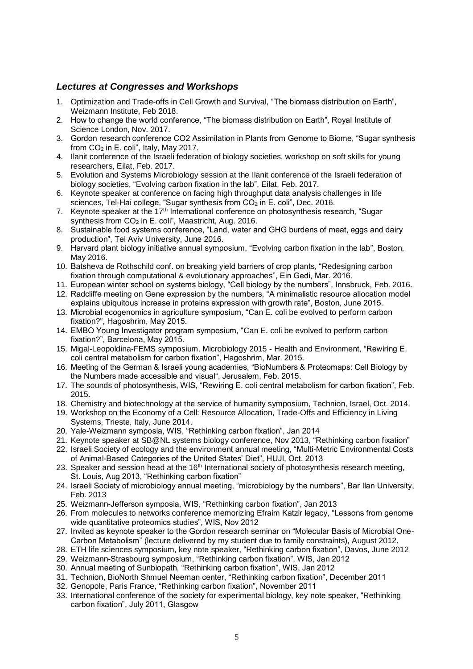#### *Lectures at Congresses and Workshops*

- 1. Optimization and Trade-offs in Cell Growth and Survival, "The biomass distribution on Earth", Weizmann Institute, Feb 2018.
- 2. How to change the world conference, "The biomass distribution on Earth", Royal Institute of Science London, Nov. 2017.
- 3. Gordon research conference CO2 Assimilation in Plants from Genome to Biome, "Sugar synthesis from CO<sup>2</sup> in E. coli", Italy, May 2017.
- 4. Ilanit conference of the Israeli federation of biology societies, workshop on soft skills for young researchers, Eilat, Feb. 2017.
- 5. Evolution and Systems Microbiology session at the Ilanit conference of the Israeli federation of biology societies, "Evolving carbon fixation in the lab", Eilat, Feb. 2017.
- 6. Keynote speaker at conference on facing high throughput data analysis challenges in life sciences, Tel-Hai college, "Sugar synthesis from CO<sub>2</sub> in E. coli", Dec. 2016.
- 7. Keynote speaker at the 17<sup>th</sup> International conference on photosynthesis research, "Sugar synthesis from  $CO<sub>2</sub>$  in E. coli", Maastricht, Aug. 2016.
- 8. Sustainable food systems conference, "Land, water and GHG burdens of meat, eggs and dairy production", Tel Aviv University, June 2016.
- 9. Harvard plant biology initiative annual symposium, "Evolving carbon fixation in the lab", Boston, May 2016.
- 10. Batsheva de Rothschild conf. on breaking yield barriers of crop plants, "Redesigning carbon fixation through computational & evolutionary approaches", Ein Gedi, Mar. 2016.
- 11. European winter school on systems biology, "Cell biology by the numbers", Innsbruck, Feb. 2016.
- 12. Radcliffe meeting on Gene expression by the numbers, "A minimalistic resource allocation model explains ubiquitous increase in proteins expression with growth rate", Boston, June 2015.
- 13. Microbial ecogenomics in agriculture symposium, "Can E. coli be evolved to perform carbon fixation?", Hagoshrim, May 2015.
- 14. EMBO Young Investigator program symposium, "Can E. coli be evolved to perform carbon fixation?", Barcelona, May 2015.
- 15. Migal-Leopoldina-FEMS symposium, Microbiology 2015 Health and Environment, "Rewiring E. coli central metabolism for carbon fixation", Hagoshrim, Mar. 2015.
- 16. Meeting of the German & Israeli young academies, "BioNumbers & Proteomaps: Cell Biology by the Numbers made accessible and visual", Jerusalem, Feb. 2015.
- 17. The sounds of photosynthesis, WIS, "Rewiring E. coli central metabolism for carbon fixation", Feb. 2015.
- 18. Chemistry and biotechnology at the service of humanity symposium, Technion, Israel, Oct. 2014.
- 19. Workshop on the Economy of a Cell: Resource Allocation, Trade-Offs and Efficiency in Living Systems, Trieste, Italy, June 2014.
- 20. Yale-Weizmann symposia, WIS, "Rethinking carbon fixation", Jan 2014
- 21. Keynote speaker at SB@NL systems biology conference, Nov 2013, "Rethinking carbon fixation"
- 22. Israeli Society of ecology and the environment annual meeting, "Multi-Metric Environmental Costs of Animal-Based Categories of the United States' Diet", HUJI, Oct. 2013
- 23. Speaker and session head at the  $16<sup>th</sup>$  International society of photosynthesis research meeting, St. Louis, Aug 2013, "Rethinking carbon fixation"
- 24. Israeli Society of microbiology annual meeting, "microbiology by the numbers", Bar Ilan University, Feb. 2013
- 25. Weizmann-Jefferson symposia, WIS, "Rethinking carbon fixation", Jan 2013
- 26. From molecules to networks conference memorizing Efraim Katzir legacy, "Lessons from genome wide quantitative proteomics studies", WIS, Nov 2012
- 27. Invited as keynote speaker to the Gordon research seminar on "Molecular Basis of Microbial One-Carbon Metabolism" (lecture delivered by my student due to family constraints), August 2012.
- 28. ETH life sciences symposium, key note speaker, "Rethinking carbon fixation", Davos, June 2012
- 29. Weizmann-Strasbourg symposium, "Rethinking carbon fixation", WIS, Jan 2012
- 30. Annual meeting of Sunbiopath, "Rethinking carbon fixation", WIS, Jan 2012
- 31. Technion, BioNorth Shmuel Neeman center, "Rethinking carbon fixation", December 2011
- 32. Genopole, Paris France, "Rethinking carbon fixation", November 2011
- 33. International conference of the society for experimental biology, key note speaker, "Rethinking carbon fixation", July 2011, Glasgow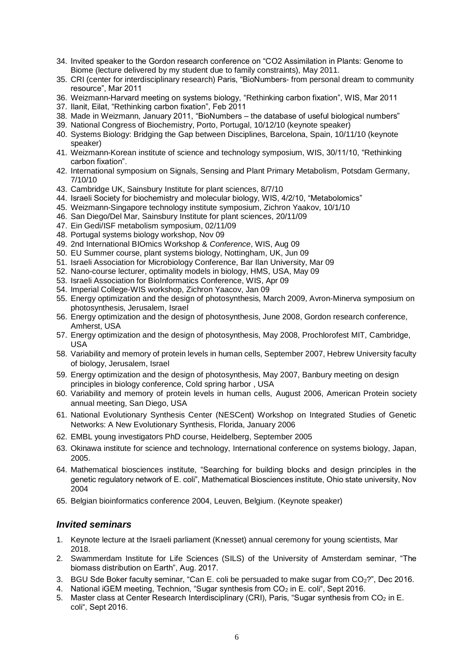- 34. Invited speaker to the Gordon research conference on "CO2 Assimilation in Plants: Genome to Biome (lecture delivered by my student due to family constraints), May 2011.
- 35. CRI (center for interdisciplinary research) Paris, "BioNumbers- from personal dream to community resource", Mar 2011
- 36. Weizmann-Harvard meeting on systems biology, "Rethinking carbon fixation", WIS, Mar 2011
- 37. Ilanit, Eilat, "Rethinking carbon fixation", Feb 2011
- 38. Made in Weizmann, January 2011, "BioNumbers the database of useful biological numbers"
- 39. National Congress of Biochemistry, Porto, Portugal, 10/12/10 (keynote speaker)
- 40. Systems Biology: Bridging the Gap between Disciplines, Barcelona, Spain, 10/11/10 (keynote speaker)
- 41. Weizmann-Korean institute of science and technology symposium, WIS, 30/11/10, "Rethinking carbon fixation".
- 42. International symposium on Signals, Sensing and Plant Primary Metabolism, Potsdam Germany, 7/10/10
- 43. Cambridge UK, Sainsbury Institute for plant sciences, 8/7/10
- 44. Israeli Society for biochemistry and molecular biology, WIS, 4/2/10, "Metabolomics"
- 45. Weizmann-Singapore technology institute symposium, Zichron Yaakov, 10/1/10
- 46. San Diego/Del Mar, Sainsbury Institute for plant sciences, 20/11/09
- 47. Ein Gedi/ISF metabolism symposium, 02/11/09
- 48. Portugal systems biology workshop, Nov 09
- 49. 2nd International BIOmics Workshop & *Conference*, WIS, Aug 09
- 50. EU Summer course, plant systems biology, Nottingham, UK, Jun 09
- 51. Israeli Association for Microbiology Conference, Bar Ilan University, Mar 09
- 52. Nano-course lecturer, optimality models in biology, HMS, USA, May 09
- 53. Israeli Association for BioInformatics Conference, WIS, Apr 09
- 54. Imperial College-WIS workshop, Zichron Yaacov, Jan 09
- 55. Energy optimization and the design of photosynthesis, March 2009, Avron-Minerva symposium on photosynthesis, Jerusalem, Israel
- 56. Energy optimization and the design of photosynthesis, June 2008, Gordon research conference, Amherst, USA
- 57. Energy optimization and the design of photosynthesis, May 2008, Prochlorofest MIT, Cambridge, USA
- 58. Variability and memory of protein levels in human cells, September 2007, Hebrew University faculty of biology, Jerusalem, Israel
- 59. Energy optimization and the design of photosynthesis, May 2007, Banbury meeting on design principles in biology conference, Cold spring harbor , USA
- 60. Variability and memory of protein levels in human cells, August 2006, American Protein society annual meeting, San Diego, USA
- 61. National Evolutionary Synthesis Center (NESCent) Workshop on Integrated Studies of Genetic Networks: A New Evolutionary Synthesis, Florida, January 2006
- 62. EMBL young investigators PhD course, Heidelberg, September 2005
- 63. Okinawa institute for science and technology, International conference on systems biology, Japan, 2005.
- 64. Mathematical biosciences institute, "Searching for building blocks and design principles in the genetic regulatory network of E. coli", Mathematical Biosciences institute, Ohio state university, Nov 2004
- 65. Belgian bioinformatics conference 2004, Leuven, Belgium. (Keynote speaker)

#### *Invited seminars*

- 1. Keynote lecture at the Israeli parliament (Knesset) annual ceremony for young scientists, Mar 2018.
- 2. Swammerdam Institute for Life Sciences (SILS) of the University of Amsterdam seminar, "The biomass distribution on Earth", Aug. 2017.
- 3. BGU Sde Boker faculty seminar, "Can E. coli be persuaded to make sugar from  $CO<sub>2</sub>$ ?", Dec 2016.
- 4. National iGEM meeting, Technion, "Sugar synthesis from CO<sub>2</sub> in E. coli<sup>"</sup>, Sept 2016.
- 5. Master class at Center Research Interdisciplinary (CRI), Paris, "Sugar synthesis from CO<sub>2</sub> in E. coli", Sept 2016.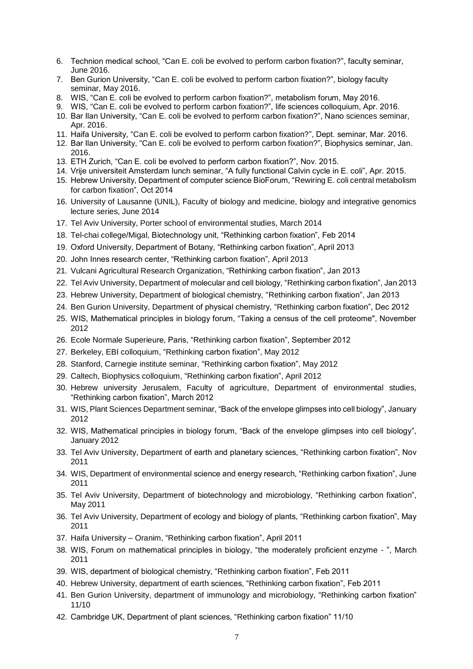- 6. Technion medical school, "Can E. coli be evolved to perform carbon fixation?", faculty seminar, June 2016.
- 7. Ben Gurion University, "Can E. coli be evolved to perform carbon fixation?", biology faculty seminar, May 2016.
- 8. WIS, "Can E. coli be evolved to perform carbon fixation?", metabolism forum, May 2016.
- 9. WIS, "Can E. coli be evolved to perform carbon fixation?", life sciences colloquium, Apr. 2016.
- 10. Bar Ilan University, "Can E. coli be evolved to perform carbon fixation?", Nano sciences seminar, Apr. 2016.
- 11. Haifa University, "Can E. coli be evolved to perform carbon fixation?", Dept. seminar, Mar. 2016.
- 12. Bar Ilan University, "Can E. coli be evolved to perform carbon fixation?", Biophysics seminar, Jan. 2016.
- 13. ETH Zurich, "Can E. coli be evolved to perform carbon fixation?", Nov. 2015.
- 14. Vrije universiteit Amsterdam lunch seminar, "A fully functional Calvin cycle in E. coli", Apr. 2015.
- 15. Hebrew University, Department of computer science BioForum, "Rewiring E. coli central metabolism for carbon fixation", Oct 2014
- 16. University of Lausanne (UNIL), Faculty of biology and medicine, biology and integrative genomics lecture series, June 2014
- 17. Tel Aviv University, Porter school of environmental studies, March 2014
- 18. Tel-chai college/Migal, Biotechnology unit, "Rethinking carbon fixation", Feb 2014
- 19. Oxford University, Department of Botany, "Rethinking carbon fixation", April 2013
- 20. John Innes research center, "Rethinking carbon fixation", April 2013
- 21. Vulcani Agricultural Research Organization, "Rethinking carbon fixation", Jan 2013
- 22. Tel Aviv University, Department of molecular and cell biology, "Rethinking carbon fixation", Jan 2013
- 23. Hebrew University, Department of biological chemistry, "Rethinking carbon fixation", Jan 2013
- 24. Ben Gurion University, Department of physical chemistry, "Rethinking carbon fixation", Dec 2012
- 25. WIS, Mathematical principles in biology forum, "Taking a census of the cell proteome", November 2012
- 26. Ecole Normale Superieure, Paris, "Rethinking carbon fixation", September 2012
- 27. Berkeley, EBI colloquium, "Rethinking carbon fixation", May 2012
- 28. Stanford, Carnegie institute seminar, "Rethinking carbon fixation", May 2012
- 29. Caltech, Biophysics colloquium, "Rethinking carbon fixation", April 2012
- 30. Hebrew university Jerusalem, Faculty of agriculture, Department of environmental studies, "Rethinking carbon fixation", March 2012
- 31. WIS, Plant Sciences Department seminar, "Back of the envelope glimpses into cell biology", January 2012
- 32. WIS, Mathematical principles in biology forum, "Back of the envelope glimpses into cell biology", January 2012
- 33. Tel Aviv University, Department of earth and planetary sciences, "Rethinking carbon fixation", Nov 2011
- 34. WIS, Department of environmental science and energy research, "Rethinking carbon fixation", June 2011
- 35. Tel Aviv University, Department of biotechnology and microbiology, "Rethinking carbon fixation", May 2011
- 36. Tel Aviv University, Department of ecology and biology of plants, "Rethinking carbon fixation", May 2011
- 37. Haifa University Oranim, "Rethinking carbon fixation", April 2011
- 38. WIS, Forum on mathematical principles in biology, "the moderately proficient enzyme ", March 2011
- 39. WIS, department of biological chemistry, "Rethinking carbon fixation", Feb 2011
- 40. Hebrew University, department of earth sciences, "Rethinking carbon fixation", Feb 2011
- 41. Ben Gurion University, department of immunology and microbiology, "Rethinking carbon fixation" 11/10
- 42. Cambridge UK, Department of plant sciences, "Rethinking carbon fixation" 11/10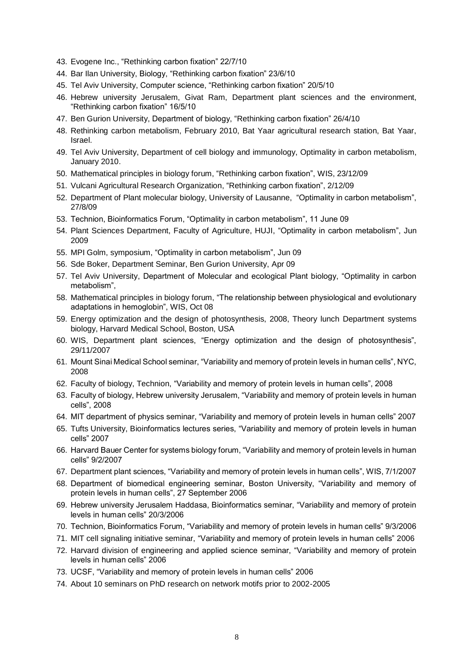- 43. Evogene Inc., "Rethinking carbon fixation" 22/7/10
- 44. Bar Ilan University, Biology, "Rethinking carbon fixation" 23/6/10
- 45. Tel Aviv University, Computer science, "Rethinking carbon fixation" 20/5/10
- 46. Hebrew university Jerusalem, Givat Ram, Department plant sciences and the environment, "Rethinking carbon fixation" 16/5/10
- 47. Ben Gurion University, Department of biology, "Rethinking carbon fixation" 26/4/10
- 48. Rethinking carbon metabolism, February 2010, Bat Yaar agricultural research station, Bat Yaar, Israel.
- 49. Tel Aviv University, Department of cell biology and immunology, Optimality in carbon metabolism, January 2010.
- 50. Mathematical principles in biology forum, "Rethinking carbon fixation", WIS, 23/12/09
- 51. Vulcani Agricultural Research Organization, "Rethinking carbon fixation", 2/12/09
- 52. Department of Plant molecular biology, University of Lausanne, "Optimality in carbon metabolism", 27/8/09
- 53. Technion, Bioinformatics Forum, "Optimality in carbon metabolism", 11 June 09
- 54. Plant Sciences Department, Faculty of Agriculture, HUJI, "Optimality in carbon metabolism", Jun 2009
- 55. MPI Golm, symposium, "Optimality in carbon metabolism", Jun 09
- 56. Sde Boker, Department Seminar, Ben Gurion University, Apr 09
- 57. Tel Aviv University, Department of Molecular and ecological Plant biology, "Optimality in carbon metabolism",
- 58. Mathematical principles in biology forum, "The relationship between physiological and evolutionary adaptations in hemoglobin", WIS, Oct 08
- 59. Energy optimization and the design of photosynthesis, 2008, Theory lunch Department systems biology, Harvard Medical School, Boston, USA
- 60. WIS, Department plant sciences, "Energy optimization and the design of photosynthesis", 29/11/2007
- 61. Mount Sinai Medical School seminar, "Variability and memory of protein levels in human cells", NYC, 2008
- 62. Faculty of biology, Technion, "Variability and memory of protein levels in human cells", 2008
- 63. Faculty of biology, Hebrew university Jerusalem, "Variability and memory of protein levels in human cells", 2008
- 64. MIT department of physics seminar, "Variability and memory of protein levels in human cells" 2007
- 65. Tufts University, Bioinformatics lectures series, "Variability and memory of protein levels in human cells" 2007
- 66. Harvard Bauer Center for systems biology forum, "Variability and memory of protein levels in human cells" 9/2/2007
- 67. Department plant sciences, "Variability and memory of protein levels in human cells", WIS, 7/1/2007
- 68. Department of biomedical engineering seminar, Boston University, "Variability and memory of protein levels in human cells", 27 September 2006
- 69. Hebrew university Jerusalem Haddasa, Bioinformatics seminar, "Variability and memory of protein levels in human cells" 20/3/2006
- 70. Technion, Bioinformatics Forum, "Variability and memory of protein levels in human cells" 9/3/2006
- 71. MIT cell signaling initiative seminar, "Variability and memory of protein levels in human cells" 2006
- 72. Harvard division of engineering and applied science seminar, "Variability and memory of protein levels in human cells" 2006
- 73. UCSF, "Variability and memory of protein levels in human cells" 2006
- 74. About 10 seminars on PhD research on network motifs prior to 2002-2005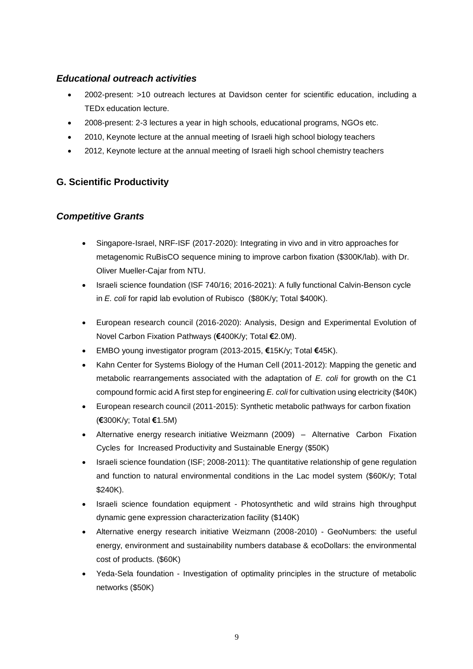# *Educational outreach activities*

- 2002-present: >10 outreach lectures at Davidson center for scientific education, including a TEDx education lecture.
- 2008-present: 2-3 lectures a year in high schools, educational programs, NGOs etc.
- 2010, Keynote lecture at the annual meeting of Israeli high school biology teachers
- 2012, Keynote lecture at the annual meeting of Israeli high school chemistry teachers

# **G. Scientific Productivity**

### *Competitive Grants*

- Singapore-Israel, NRF-ISF (2017-2020): Integrating in vivo and in vitro approaches for metagenomic RuBisCO sequence mining to improve carbon fixation (\$300K/lab). with Dr. Oliver Mueller-Cajar from NTU.
- Israeli science foundation (ISF 740/16; 2016-2021): A fully functional Calvin-Benson cycle in *E. coli* for rapid lab evolution of Rubisco (\$80K/y; Total \$400K).
- European research council (2016-2020): Analysis, Design and Experimental Evolution of Novel Carbon Fixation Pathways (**€**400K/y; Total **€**2.0M).
- EMBO young investigator program (2013-2015, **€**15K/y; Total **€**45K).
- Kahn Center for Systems Biology of the Human Cell (2011-2012): Mapping the genetic and metabolic rearrangements associated with the adaptation of *E. coli* for growth on the C1 compound formic acid A first step for engineering *E. coli*for cultivation using electricity (\$40K)
- European research council (2011-2015): Synthetic metabolic pathways for carbon fixation (**€**300K/y; Total **€**1.5M)
- Alternative energy research initiative Weizmann (2009) Alternative Carbon Fixation Cycles for Increased Productivity and Sustainable Energy (\$50K)
- Israeli science foundation (ISF; 2008-2011): The quantitative relationship of gene regulation and function to natural environmental conditions in the Lac model system (\$60K/y; Total \$240K).
- Israeli science foundation equipment Photosynthetic and wild strains high throughput dynamic gene expression characterization facility (\$140K)
- Alternative energy research initiative Weizmann (2008-2010) GeoNumbers: the useful energy, environment and sustainability numbers database & ecoDollars: the environmental cost of products. (\$60K)
- Yeda-Sela foundation Investigation of optimality principles in the structure of metabolic networks (\$50K)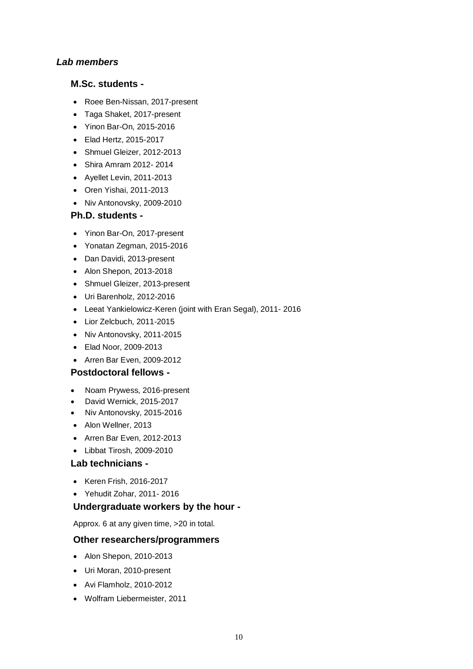### *Lab members*

### **M.Sc. students -**

- Roee Ben-Nissan, 2017-present
- Taga Shaket, 2017-present
- Yinon Bar-On, 2015-2016
- Elad Hertz, 2015-2017
- Shmuel Gleizer, 2012-2013
- Shira Amram 2012- 2014
- Ayellet Levin, 2011-2013
- Oren Yishai, 2011-2013
- Niv Antonovsky, 2009-2010

### **Ph.D. students -**

- Yinon Bar-On, 2017-present
- Yonatan Zegman, 2015-2016
- Dan Davidi, 2013-present
- Alon Shepon, 2013-2018
- Shmuel Gleizer, 2013-present
- Uri Barenholz, 2012-2016
- Leeat Yankielowicz-Keren (joint with Eran Segal), 2011- 2016
- Lior Zelcbuch, 2011-2015
- Niv Antonovsky, 2011-2015
- Elad Noor, 2009-2013
- Arren Bar Even, 2009-2012

### **Postdoctoral fellows -**

- Noam Prywess, 2016-present
- David Wernick, 2015-2017
- Niv Antonovsky, 2015-2016
- Alon Wellner, 2013
- Arren Bar Even, 2012-2013
- Libbat Tirosh, 2009-2010

### **Lab technicians -**

- Keren Frish, 2016-2017
- Yehudit Zohar, 2011- 2016

### **Undergraduate workers by the hour -**

Approx. 6 at any given time, >20 in total.

### **Other researchers/programmers**

- Alon Shepon, 2010-2013
- Uri Moran, 2010-present
- Avi Flamholz, 2010-2012
- Wolfram Liebermeister, 2011